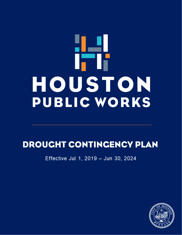# 9 Y Y IT Ii HOUSTON **PUBLIC WORKS**

# DROUGHT CONTINGENCY PLAN

Effective Jul 1, 2019 - Jun 30, 2024

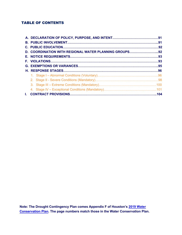#### TABLE OF CONTENTS

| D. COORDINATION WITH REGIONAL WATER PLANNING GROUPS92 |  |
|-------------------------------------------------------|--|
|                                                       |  |
|                                                       |  |
|                                                       |  |
|                                                       |  |
|                                                       |  |
|                                                       |  |
|                                                       |  |
|                                                       |  |
|                                                       |  |

**Note: The Drought Contingency Plan comes Appendix F of Houston's 2019 Water Conservation Plan. The [page numbers match those in the Water](https://www.publicworks.houstontx.gov/sites/default/files/assets/2019_water_conservation_plan_01132020.pdf) Conservation Plan.**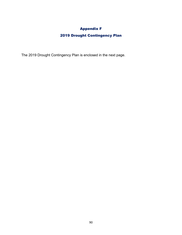# Appendix F

# 2019 Drought Contingency Plan

The 2019 Drought Contingency Plan is enclosed in the next page.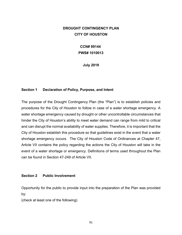### <span id="page-3-0"></span>**DROUGHT CONTINGENCY PLAN CITY OF HOUSTON**

# **CCN# 99144 PWS# 1010013**

**July 2019**

#### **Section 1 Declaration of Policy, Purpose, and Intent**

The purpose of the Drought Contingency Plan (the "Plan") is to establish policies and procedures for the City of Houston to follow in case of a water shortage emergency. A water shortage emergency caused by drought or other uncontrollable circumstances that hinder the City of Houston's ability to meet water demand can range from mild to critical and can disrupt the normal availability of water supplies. Therefore, it is important that the City of Houston establish this procedure so that guidelines exist in the event that a water shortage emergency occurs. The City of Houston Code of Ordinances at Chapter 47, Article VII contains the policy regarding the actions the City of Houston will take in the event of a water shortage or emergency. Definitions of terms used throughout the Plan can be found in Section 47-249 of Article VII.

#### **Section 2 Public Involvement**

Opportunity for the public to provide input into the preparation of the Plan was provided by:

(check at least one of the following)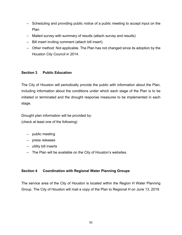- <span id="page-4-0"></span>– Scheduling and providing public notice of a public meeting to accept input on the Plan
- Mailed survey with summary of results (attach survey and results)
- Bill insert inviting comment (attach bill insert)
- Other method: Not applicable. The Plan has not changed since its adoption by the Houston City Council in 2014.

#### **Section 3 Public Education**

The City of Houston will periodically provide the public with information about the Plan, including information about the conditions under which each stage of the Plan is to be initiated or terminated and the drought response measures to be implemented in each stage.

Drought plan information will be provided by: (check at least one of the following)

- public meeting
- press releases
- utility bill inserts
- The Plan will be available on the City of Houston's websites.

#### **Section 4 Coordination with Regional Water Planning Groups**

The service area of the City of Houston is located within the Region H Water Planning Group. The City of Houston will mail a copy of the Plan to Regional H on June 13, 2019.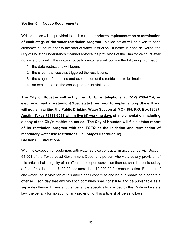#### <span id="page-5-0"></span>**Section 5 Notice Requirements**

Written notice will be provided to each customer **prior to implementation or termination of each stage of the water restriction program**. Mailed notice will be given to each customer 72 hours prior to the start of water restriction. If notice is hand delivered, the City of Houston understands it cannot enforce the provisions of the Plan for 24 hours after notice is provided. The written notice to customers will contain the following information:

- 1. the date restrictions will begin;
- 2. the circumstances that triggered the restrictions;
- 3. the stages of response and explanation of the restrictions to be implemented; and
- 4. an explanation of the consequences for violations.

**The City of Houston will notify the TCEQ by telephone at (512) 239-4714, or electronic mail at watermon@tceq.state.tx.us prior to implementing Stage II and will notify in writing the Public Drinking Water Section at MC - 155, P.O. Box 13087, Austin, Texas 78711-3087 within five (5) working days of implementation including a copy of the City's restriction notice. The City of Houston will file a status report of its restriction program with the TCEQ at the initiation and termination of mandatory water use restrictions (i.e., Stages II through IV). Section 6 Violations**

# With the exception of customers with water service contracts, in accordance with Section 54.001 of the Texas Local Government Code, any person who violates any provision of this article shall be guilty of an offense and upon conviction thereof, shall be punished by a fine of not less than \$100.00 nor more than \$2,000.00 for each violation. Each act of city water use in violation of this article shall constitute and be punishable as a separate offense. Each day that any violation continues shall constitute and be punishable as a separate offense. Unless another penalty is specifically provided by this Code or by state law, the penalty for violation of any provision of this article shall be as follows: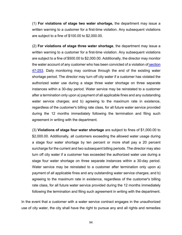(1) **For violations of stage two water shortage,** the department may issue a written warning to a customer for a first-time violation. Any subsequent violations are subject to a fine of \$100.00 to \$2,000.00.

(2) **For violations of stage three water shortage**, the department may issue a written warning to a customer for a first-time violation. Any subsequent violations are subject to a fine of \$500.00 to \$2,000.00. Additionally, the director may monitor the water account of any customer who has been convicted of a violation of section [47-253.](http://library.municode.com/HTML/10123/level4/COOR_CH47WASE_ARTVIIWASH_DIV2SHEM.html#COOR_CH47WASE_ARTVIIWASH_DIV2SHEM_S47-253STTHWASHEXCOMARETAREOVWAUS20PE) Daily monitoring may continue through the end of the existing water shortage period. The director may turn off city water if a customer has violated the authorized water use during a stage three water shortage on three separate instances within a 30-day period. Water service may be reinstated to a customer after a termination only upon a) payment of all applicable fines and any outstanding water service charges; and b) agreeing to the maximum rate in existence, regardless of the customer's billing rate class, for all future water service provided during the 12 months immediately following the termination and filing such agreement in writing with the department.

(3) **Violations of stage four water shortage** are subject to fines of \$1,000.00 to \$2,000.00. Additionally, all customers exceeding the allowed water usage during a stage four water shortage by ten percent or more shall pay a 20 percent surcharge for the current and two subsequent billing periods. The director may also turn off city water if a customer has exceeded the authorized water use during a stage four water shortage on three separate instances within a 30-day period. Water service may be reinstated to a customer after termination only upon a) payment of all applicable fines and any outstanding water service charges; and b) agreeing to the maximum rate in existence, regardless of the customer's billing rate class, for all future water service provided during the 12 months immediately following the termination and filing such agreement in writing with the department.

In the event that a customer with a water service contract engages in the unauthorized use of city water, the city shall have the right to pursue any and all rights and remedies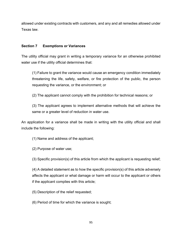<span id="page-7-0"></span>allowed under existing contracts with customers, and any and all remedies allowed under Texas law.

#### **Section 7 Exemptions or Variances**

The utility official may grant in writing a temporary variance for an otherwise prohibited water use if the utility official determines that:

(1) Failure to grant the variance would cause an emergency condition immediately threatening the life, safety, welfare, or fire protection of the public, the person requesting the variance, or the environment; or

(2) The applicant cannot comply with the prohibition for technical reasons; or

(3) The applicant agrees to implement alternative methods that will achieve the same or a greater level of reduction in water use.

An application for a variance shall be made in writing with the utility official and shall include the following:

(1) Name and address of the applicant;

(2) Purpose of water use;

(3) Specific provision(s) of this article from which the applicant is requesting relief;

(4) A detailed statement as to how the specific provision(s) of this article adversely affects the applicant or what damage or harm will occur to the applicant or others if the applicant complies with this article;

(5) Description of the relief requested;

(6) Period of time for which the variance is sought;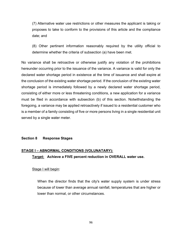<span id="page-8-0"></span>(7) Alternative water use restrictions or other measures the applicant is taking or proposes to take to conform to the provisions of this article and the compliance date; and

(8) Other pertinent information reasonably required by the utility official to determine whether the criteria of subsection (a) have been met.

No variance shall be retroactive or otherwise justify any violation of the prohibitions hereunder occurring prior to the issuance of the variance. A variance is valid for only the declared water shortage period in existence at the time of issuance and shall expire at the conclusion of the existing water shortage period. If the conclusion of the existing water shortage period is immediately followed by a newly declared water shortage period, consisting of either more or less threatening conditions, a new application for a variance must be filed in accordance with subsection (b) of this section. Notwithstanding the foregoing, a variance may be applied retroactively if issued to a residential customer who is a member of a family consisting of five or more persons living in a single residential unit served by a single water meter.

#### **Section 8 Response Stages**

#### **STAGE I – ABNORMAL CONDITIONS (VOLUNATARY):**

#### **Target: Achieve a FIVE percent reduction in OVERALL water use.**

#### Stage I will begin:

When the director finds that the city's water supply system is under stress because of lower than average annual rainfall, temperatures that are higher or lower than normal, or other circumstances.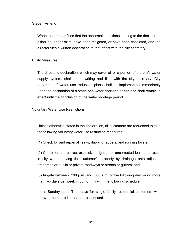#### Stage I will end:

When the director finds that the abnormal conditions leading to the declaration either no longer exist, have been mitigated, or have been escalated, and the director files a written declaration to that effect with the city secretary.

#### Utility Measures:

The director's declaration, which may cover all or a portion of the city's water supply system, shall be in writing and filed with the city secretary. City departments' water use reduction plans shall be implemented immediately upon the declaration of a stage one water shortage period and shall remain in effect until the conclusion of the water shortage period.

#### Voluntary Water Use Restrictions:

Unless otherwise stated in the declaration, all customers are requested to take the following voluntary water use restriction measures:

(1) Check for and repair all leaks, dripping faucets, and running toilets;

(2) Check for and correct excessive irrigation or uncorrected leaks that result in city water leaving the customer's property by drainage onto adjacent properties or public or private roadways or streets or gutters; and

(3) Irrigate between 7:00 p.m. and 5:00 a.m. of the following day on no more than two days per week in conformity with the following schedule:

a. Sundays and Thursdays for single-family residential customers with even-numbered street addresses; and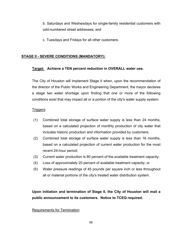<span id="page-10-0"></span>b. Saturdays and Wednesdays for single-family residential customers with odd-numbered street addresses; and

c. Tuesdays and Fridays for all other customers.

#### **STAGE II - SEVERE CONDITIONS (MANDATORY):**

#### **Target: Achieve a TEN percent reduction in OVERALL water use.**

The City of Houston will implement Stage II when, upon the recommendation of the director of the Public Works and Engineering Department, the mayor declares a stage two water shortage upon finding that one or more of the following conditions exist that may impact all or a portion of the city's water supply system:

#### Triggers:

- (1) Combined total storage of surface water supply is less than 24 months, based on a calculated projection of monthly production of city water that includes historic production and information provided by customers;
- (2) Combined total storage of surface water supply is less than 16 months, based on a calculated projection of current water production for the most recent 24-hour period;
- (3) Current water production is 80 percent of the available treatment capacity;
- (4) Loss of approximately 20 percent of available treatment capacity; or
- (5) Water pressure readings of 45 pounds per square inch or less throughout all or material portions of the city's treated water distribution system.

**Upon initiation and termination of Stage II, the City of Houston will mail a public announcement to its customers. Notice to TCEQ required.**

#### Requirements for Termination: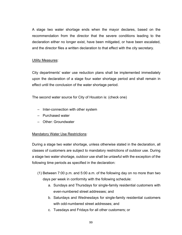A stage two water shortage ends when the mayor declares, based on the recommendation from the director that the severe conditions leading to the declaration either no longer exist, have been mitigated, or have been escalated, and the director files a written declaration to that effect with the city secretary.

#### Utility Measures:

City departments' water use reduction plans shall be implemented immediately upon the declaration of a stage four water shortage period and shall remain in effect until the conclusion of the water shortage period.

The second water source for City of Houston is: (check one)

- Inter-connection with other system
- Purchased water
- Other: Groundwater

#### **Mandatory Water Use Restrictions:**

During a stage two water shortage, unless otherwise stated in the declaration, all classes of customers are subject to mandatory restrictions of outdoor use. During a stage two water shortage, outdoor use shall be unlawful with the exception of the following time periods as specified in the declaration:

- (1) Between 7:00 p.m. and 5:00 a.m. of the following day on no more than two days per week in conformity with the following schedule:
	- a. Sundays and Thursdays for single-family residential customers with even-numbered street addresses; and
	- b. Saturdays and Wednesdays for single-family residential customers with odd-numbered street addresses; and
	- c. Tuesdays and Fridays for all other customers; or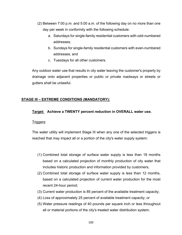- <span id="page-12-0"></span>(2) Between 7:00 p.m. and 5:00 a.m. of the following day on no more than one day per week in conformity with the following schedule:
	- a. Saturdays for single-family residential customers with odd-numbered addresses;
	- b. Sundays for single-family residential customers with even-numbered addresses; and
	- c. Tuesdays for all other customers.

Any outdoor water use that results in city water leaving the customer's property by drainage onto adjacent properties or public or private roadways or streets or gutters shall be unlawful.

#### **STAGE III – EXTREME CONDITIONS (MANDATORY):**

#### **Target: Achieve a TWENTY percent reduction in OVERALL water use.**

#### Triggers:

The water utility will implement Stage III when any one of the selected triggers is reached that may impact all or a portion of the city's water supply system:

- (1) Combined total storage of surface water supply is less than 18 months based on a calculated projection of monthly production of city water that includes historic production and information provided by customers;
- (2) Combined total storage of surface water supply is less than 12 months, based on a calculated projection of current water production for the most recent 24-hour period;
- (3) Current water production is 85 percent of the available treatment capacity;
- (4) Loss of approximately 25 percent of available treatment capacity; or
- (5) Water pressure readings of 40 pounds per square inch or less throughout all or material portions of the city's treated water distribution system.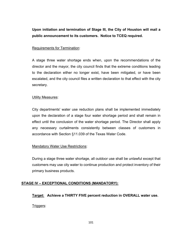<span id="page-13-0"></span>**Upon initiation and termination of Stage III, the City of Houston will mail a public announcement to its customers. Notice to TCEQ required.**

#### Requirements for Termination:

A stage three water shortage ends when, upon the recommendations of the director and the mayor, the city council finds that the extreme conditions leading to the declaration either no longer exist, have been mitigated, or have been escalated, and the city council files a written declaration to that effect with the city secretary.

#### Utility Measures:

City departments' water use reduction plans shall be implemented immediately upon the declaration of a stage four water shortage period and shall remain in effect until the conclusion of the water shortage period. The Director shall apply any necessary curtailments consistently between classes of customers in accordance with Section §11.039 of the Texas Water Code.

#### **Mandatory Water Use Restrictions:**

During a stage three water shortage, all outdoor use shall be unlawful except that customers may use city water to continue production and protect inventory of their primary business products.

#### **STAGE IV – EXCEPTIONAL CONDITIONS (MANDATORY):**

**Target: Achieve a THIRTY FIVE percent reduction in OVERALL water use.**  Triggers: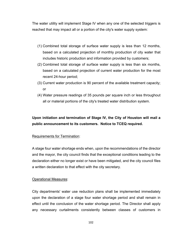The water utility will implement Stage IV when any one of the selected triggers is reached that may impact all or a portion of the city's water supply system:

- (1) Combined total storage of surface water supply is less than 12 months, based on a calculated projection of monthly production of city water that includes historic production and information provided by customers;
- (2) Combined total storage of surface water supply is less than six months, based on a calculated projection of current water production for the most recent 24-hour period;
- (3) Current water production is 90 percent of the available treatment capacity; or
- (4) Water pressure readings of 35 pounds per square inch or less throughout all or material portions of the city's treated water distribution system.

# **Upon initiation and termination of Stage IV, the City of Houston will mail a public announcement to its customers. Notice to TCEQ required.**

#### Requirements for Termination:

A stage four water shortage ends when, upon the recommendations of the director and the mayor, the city council finds that the exceptional conditions leading to the declaration either no longer exist or have been mitigated, and the city council files a written declaration to that effect with the city secretary.

#### Operational Measures:

City departments' water use reduction plans shall be implemented immediately upon the declaration of a stage four water shortage period and shall remain in effect until the conclusion of the water shortage period. The Director shall apply any necessary curtailments consistently between classes of customers in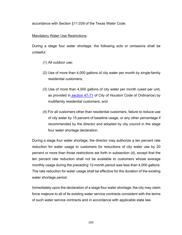accordance with Section §11.039 of the Texas Water Code.

#### Mandatory Water Use Restrictions:

During a stage four water shortage, the following acts or omissions shall be unlawful:

- (1) All outdoor use;
- (2) Use of more than 4,000 gallons of city water per month by single-family residential customers;
- (3) Use of more than 4,000 gallons of city water per month (used per unit, as provided in [section 47-71](http://library.municode.com/HTML/10123/level4/COOR_CH47WASE_ARTIICIWASECH_DIV1GE.html#COOR_CH47WASE_ARTIICIWASECH_DIV1GE_S47-71MERENOBECOBIPUEXUMAC) of City of Houston Code of Ordinance) by multifamily residential customers; and
- (4) For all customers other than residential customers, failure to reduce use of city water by 15 percent of baseline usage, or any other percentage if recommended by the director and adopted by city council in the stage four water shortage declaration.

During a stage four water shortage, the director may authorize a ten percent rate reduction for water usage to customers for reductions of city water use by 20 percent or more than those restrictions set forth in subsection (d), except that the ten percent rate reduction shall not be available to customers whose average monthly usage during the preceding 12-month period was less than 4,000 gallons. The rate reduction for water usage shall be effective for the duration of the existing water shortage period.

Immediately upon the declaration of a stage four water shortage, the city may claim force majeure to all of its existing water service contracts consistent with the terms of such water service contracts and in accordance with applicable state law.